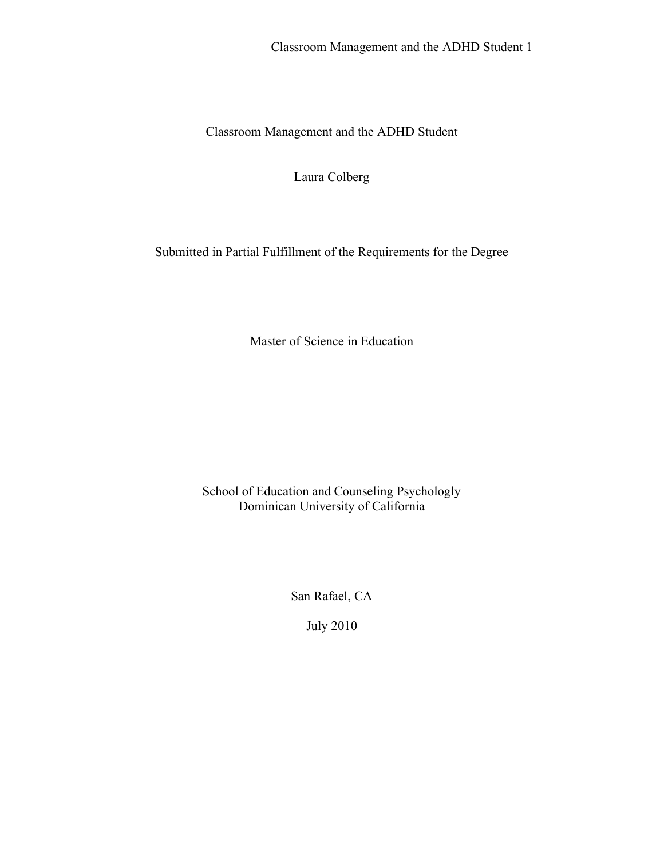Laura Colberg

Submitted in Partial Fulfillment of the Requirements for the Degree

Master of Science in Education

School of Education and Counseling Psychologly Dominican University of California

San Rafael, CA

July 2010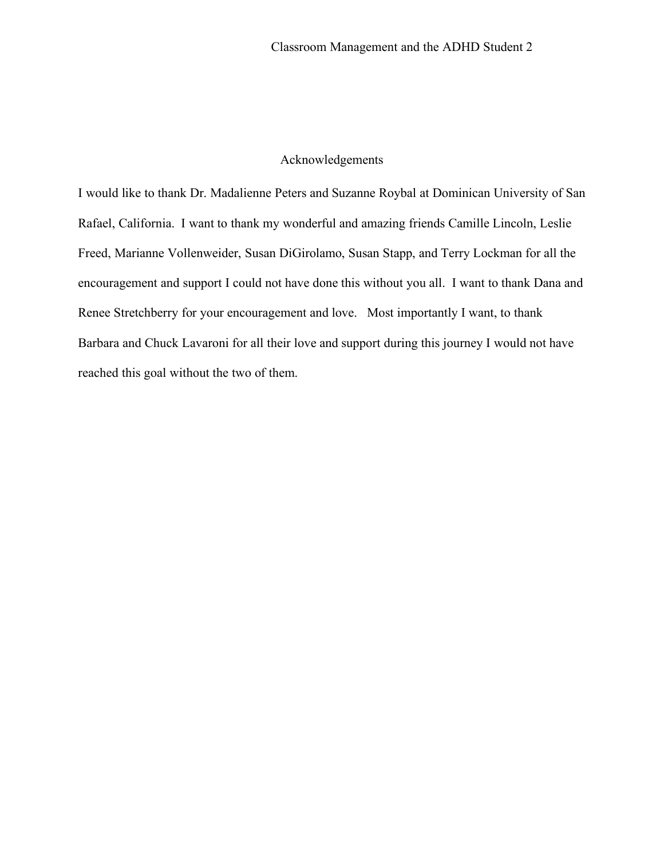## Acknowledgements

I would like to thank Dr. Madalienne Peters and Suzanne Roybal at Dominican University of San Rafael, California. I want to thank my wonderful and amazing friends Camille Lincoln, Leslie Freed, Marianne Vollenweider, Susan DiGirolamo, Susan Stapp, and Terry Lockman for all the encouragement and support I could not have done this without you all. I want to thank Dana and Renee Stretchberry for your encouragement and love. Most importantly I want, to thank Barbara and Chuck Lavaroni for all their love and support during this journey I would not have reached this goal without the two of them.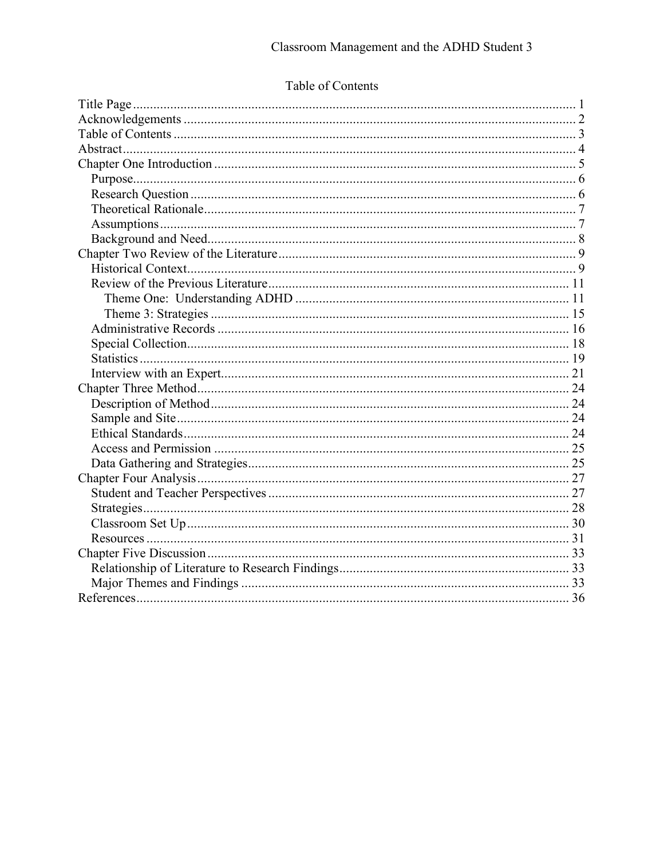# Table of Contents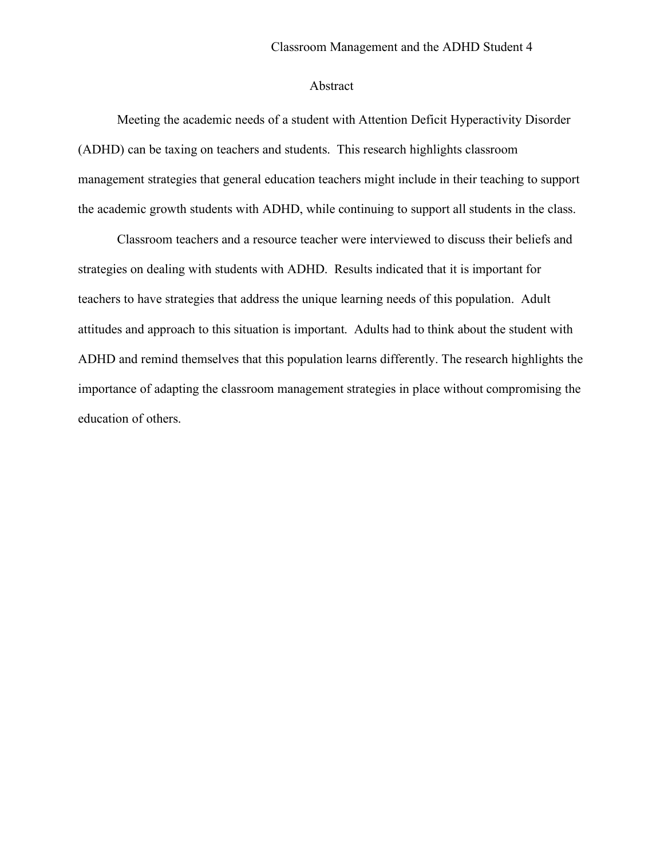### Abstract

Meeting the academic needs of a student with Attention Deficit Hyperactivity Disorder (ADHD) can be taxing on teachers and students. This research highlights classroom management strategies that general education teachers might include in their teaching to support the academic growth students with ADHD, while continuing to support all students in the class.

Classroom teachers and a resource teacher were interviewed to discuss their beliefs and strategies on dealing with students with ADHD. Results indicated that it is important for teachers to have strategies that address the unique learning needs of this population. Adult attitudes and approach to this situation is important. Adults had to think about the student with ADHD and remind themselves that this population learns differently. The research highlights the importance of adapting the classroom management strategies in place without compromising the education of others.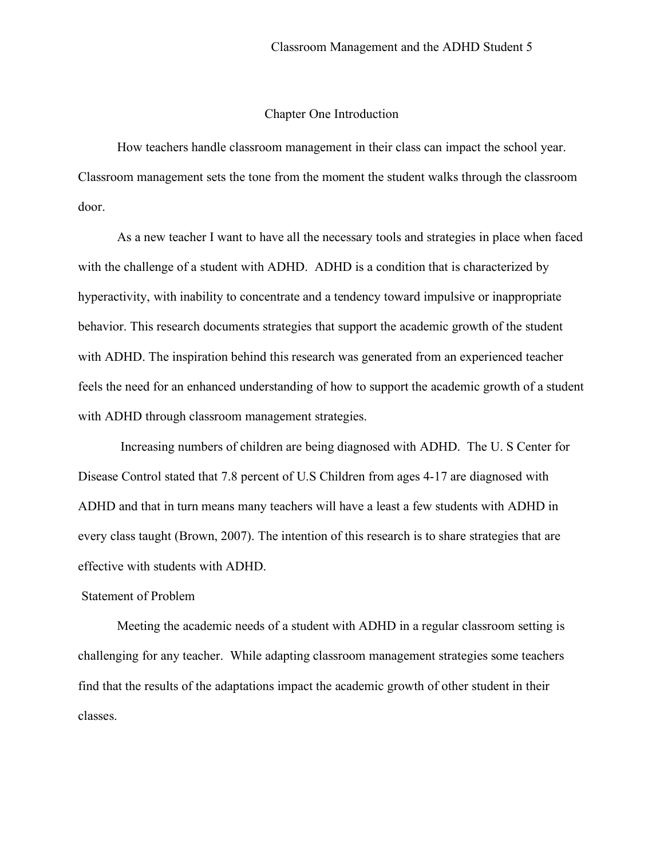## Chapter One Introduction

How teachers handle classroom management in their class can impact the school year. Classroom management sets the tone from the moment the student walks through the classroom door.

As a new teacher I want to have all the necessary tools and strategies in place when faced with the challenge of a student with ADHD. ADHD is a condition that is characterized by hyperactivity, with inability to concentrate and a tendency toward impulsive or inappropriate behavior. This research documents strategies that support the academic growth of the student with ADHD. The inspiration behind this research was generated from an experienced teacher feels the need for an enhanced understanding of how to support the academic growth of a student with ADHD through classroom management strategies.

Increasing numbers of children are being diagnosed with ADHD. The U. S Center for Disease Control stated that 7.8 percent of U.S Children from ages 4-17 are diagnosed with ADHD and that in turn means many teachers will have a least a few students with ADHD in every class taught (Brown, 2007). The intention of this research is to share strategies that are effective with students with ADHD.

#### Statement of Problem

Meeting the academic needs of a student with ADHD in a regular classroom setting is challenging for any teacher. While adapting classroom management strategies some teachers find that the results of the adaptations impact the academic growth of other student in their classes.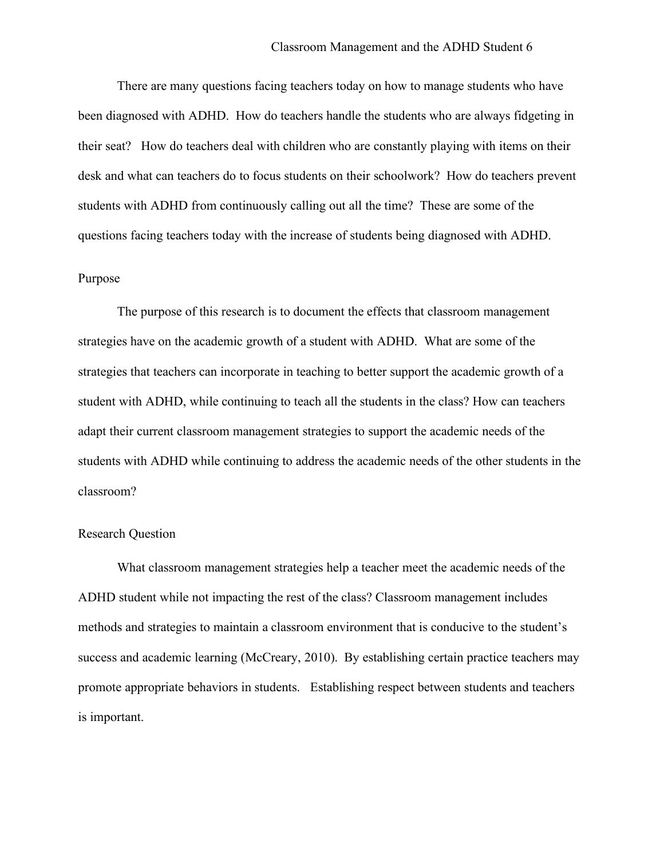There are many questions facing teachers today on how to manage students who have been diagnosed with ADHD. How do teachers handle the students who are always fidgeting in their seat? How do teachers deal with children who are constantly playing with items on their desk and what can teachers do to focus students on their schoolwork? How do teachers prevent students with ADHD from continuously calling out all the time? These are some of the questions facing teachers today with the increase of students being diagnosed with ADHD.

#### Purpose

The purpose of this research is to document the effects that classroom management strategies have on the academic growth of a student with ADHD. What are some of the strategies that teachers can incorporate in teaching to better support the academic growth of a student with ADHD, while continuing to teach all the students in the class? How can teachers adapt their current classroom management strategies to support the academic needs of the students with ADHD while continuing to address the academic needs of the other students in the classroom?

#### Research Question

What classroom management strategies help a teacher meet the academic needs of the ADHD student while not impacting the rest of the class? Classroom management includes methods and strategies to maintain a classroom environment that is conducive to the student's success and academic learning (McCreary, 2010). By establishing certain practice teachers may promote appropriate behaviors in students. Establishing respect between students and teachers is important.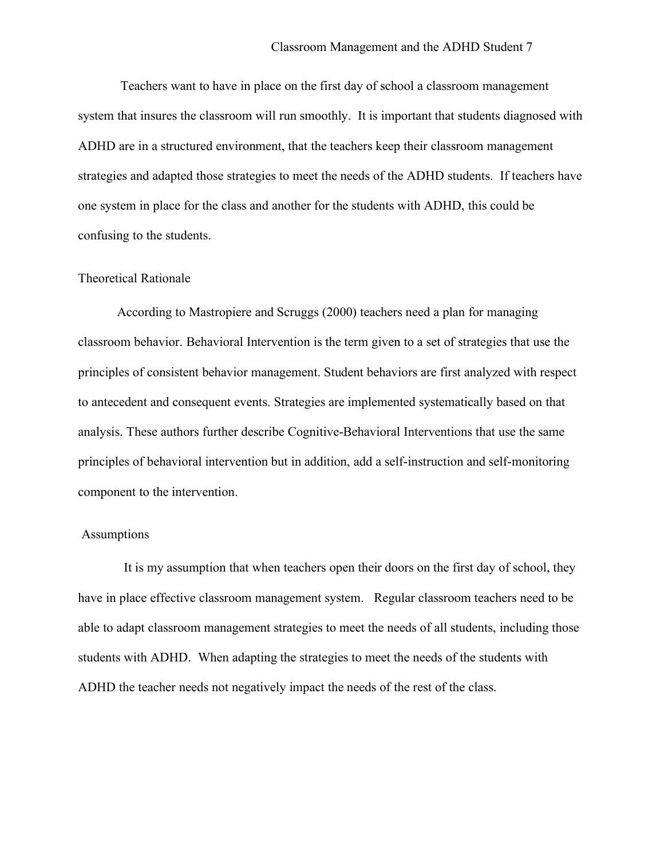Teachers want to have in place on the first day of school a classroom management system that insures the classroom will run smoothly. It is important that students diagnosed with ADHD are in a structured environment, that the teachers keep their classroom management strategies and adapted those strategies to meet the needs of the ADHD students. If teachers have one system in place for the class and another for the students with ADHD, this could be confusing to the students.

#### Theoretical Rationale

According to Mastropiere and Scruggs (2000) teachers need a plan for managing classroom behavior. Behavioral Intervention is the term given to a set of strategies that use the principles of consistent behavior management. Student behaviors are first analyzed with respect to antecedent and consequent events. Strategies are implemented systematically based on that analysis. These authors further describe Cognitive-Behavioral Interventions that use the same principles of behavioral intervention but in addition, add a self-instruction and self-monitoring component to the intervention.

### **Assumptions**

It is my assumption that when teachers open their doors on the first day of school, they have in place effective classroom management system. Regular classroom teachers need to be able to adapt classroom management strategies to meet the needs of all students, including those students with ADHD. When adapting the strategies to meet the needs of the students with ADHD the teacher needs not negatively impact the needs of the rest of the class.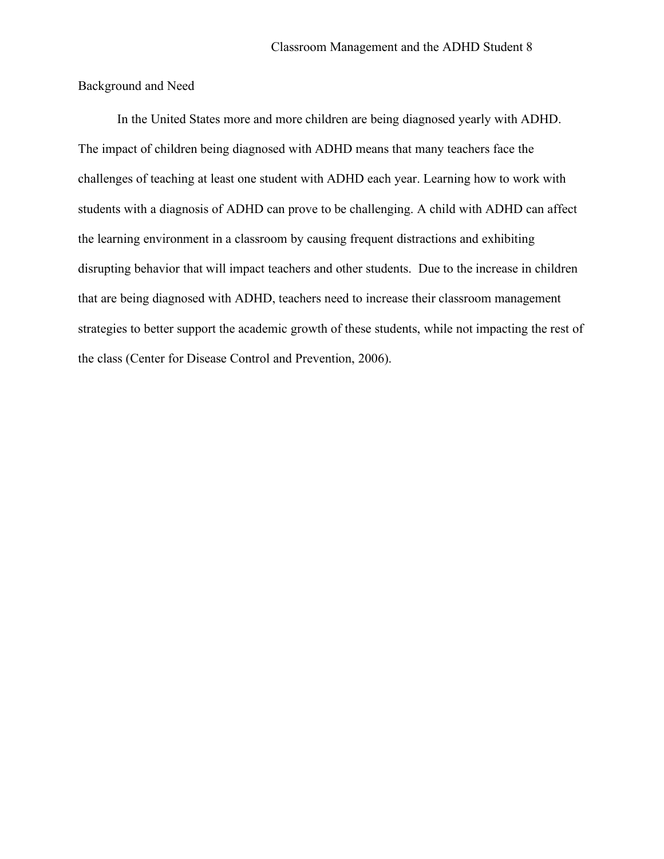Background and Need

In the United States more and more children are being diagnosed yearly with ADHD. The impact of children being diagnosed with ADHD means that many teachers face the challenges of teaching at least one student with ADHD each year. Learning how to work with students with a diagnosis of ADHD can prove to be challenging. A child with ADHD can affect the learning environment in a classroom by causing frequent distractions and exhibiting disrupting behavior that will impact teachers and other students. Due to the increase in children that are being diagnosed with ADHD, teachers need to increase their classroom management strategies to better support the academic growth of these students, while not impacting the rest of the class (Center for Disease Control and Prevention, 2006).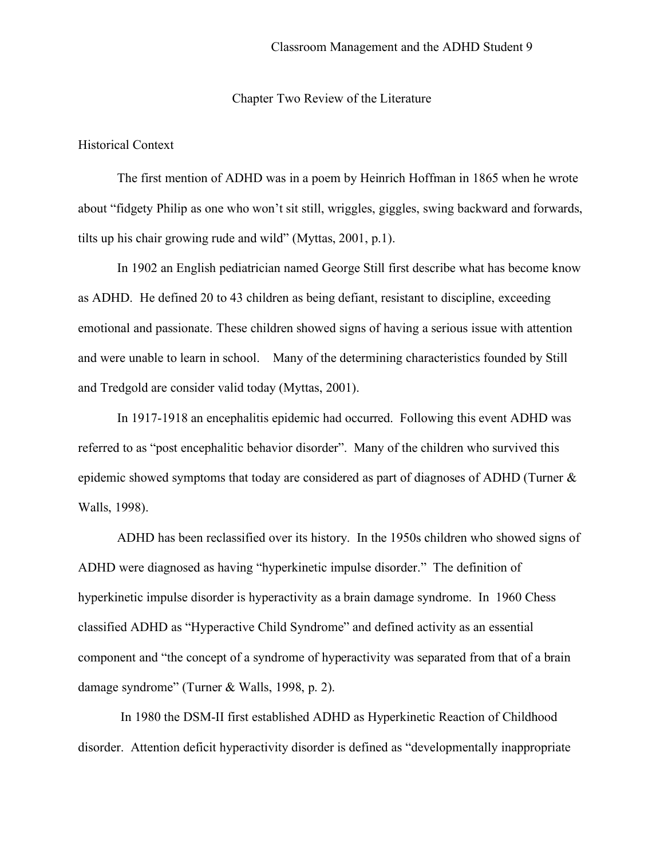#### Chapter Two Review of the Literature

## Historical Context

The first mention of ADHD was in a poem by Heinrich Hoffman in 1865 when he wrote about "fidgety Philip as one who won't sit still, wriggles, giggles, swing backward and forwards, tilts up his chair growing rude and wild" (Myttas, 2001, p.1).

In 1902 an English pediatrician named George Still first describe what has become know as ADHD. He defined 20 to 43 children as being defiant, resistant to discipline, exceeding emotional and passionate. These children showed signs of having a serious issue with attention and were unable to learn in school. Many of the determining characteristics founded by Still and Tredgold are consider valid today (Myttas, 2001).

In 1917-1918 an encephalitis epidemic had occurred. Following this event ADHD was referred to as "post encephalitic behavior disorder". Many of the children who survived this epidemic showed symptoms that today are considered as part of diagnoses of ADHD (Turner & Walls, 1998).

ADHD has been reclassified over its history. In the 1950s children who showed signs of ADHD were diagnosed as having "hyperkinetic impulse disorder." The definition of hyperkinetic impulse disorder is hyperactivity as a brain damage syndrome. In 1960 Chess classified ADHD as "Hyperactive Child Syndrome" and defined activity as an essential component and "the concept of a syndrome of hyperactivity was separated from that of a brain damage syndrome" (Turner & Walls, 1998, p. 2).

In 1980 the DSM-II first established ADHD as Hyperkinetic Reaction of Childhood disorder. Attention deficit hyperactivity disorder is defined as "developmentally inappropriate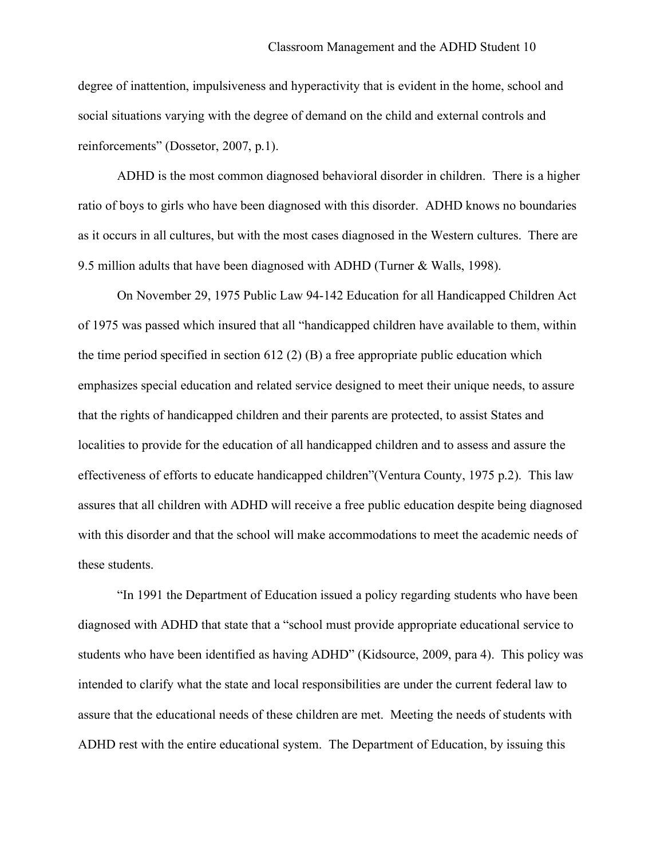degree of inattention, impulsiveness and hyperactivity that is evident in the home, school and social situations varying with the degree of demand on the child and external controls and reinforcements" (Dossetor, 2007, p.1).

ADHD is the most common diagnosed behavioral disorder in children. There is a higher ratio of boys to girls who have been diagnosed with this disorder. ADHD knows no boundaries as it occurs in all cultures, but with the most cases diagnosed in the Western cultures. There are 9.5 million adults that have been diagnosed with ADHD (Turner & Walls, 1998).

On November 29, 1975 Public Law 94-142 Education for all Handicapped Children Act of 1975 was passed which insured that all "handicapped children have available to them, within the time period specified in section 612 (2) (B) a free appropriate public education which emphasizes special education and related service designed to meet their unique needs, to assure that the rights of handicapped children and their parents are protected, to assist States and localities to provide for the education of all handicapped children and to assess and assure the effectiveness of efforts to educate handicapped children"(Ventura County, 1975 p.2). This law assures that all children with ADHD will receive a free public education despite being diagnosed with this disorder and that the school will make accommodations to meet the academic needs of these students.

"In 1991 the Department of Education issued a policy regarding students who have been diagnosed with ADHD that state that a "school must provide appropriate educational service to students who have been identified as having ADHD" (Kidsource, 2009, para 4). This policy was intended to clarify what the state and local responsibilities are under the current federal law to assure that the educational needs of these children are met. Meeting the needs of students with ADHD rest with the entire educational system. The Department of Education, by issuing this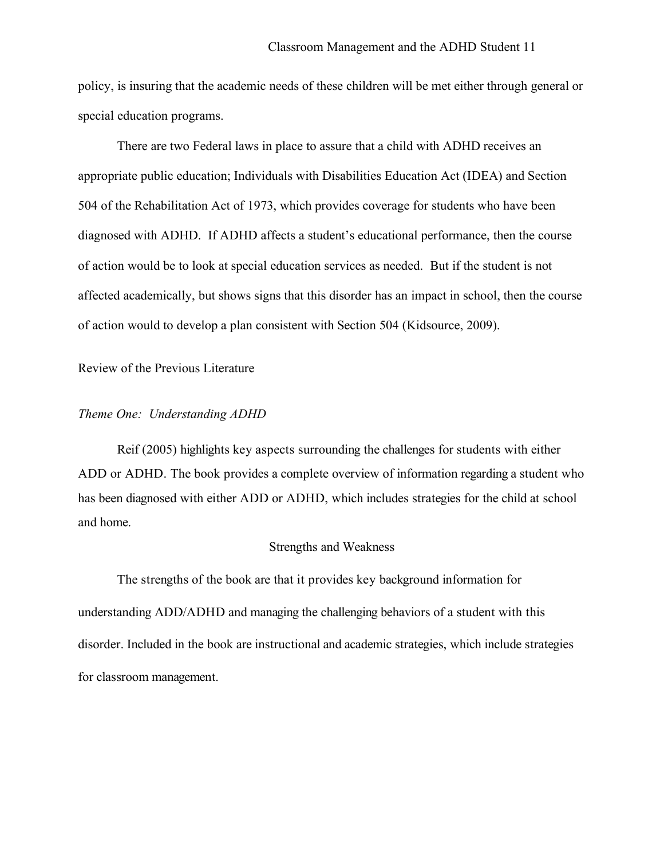policy, is insuring that the academic needs of these children will be met either through general or special education programs.

There are two Federal laws in place to assure that a child with ADHD receives an appropriate public education; Individuals with Disabilities Education Act (IDEA) and Section 504 of the Rehabilitation Act of 1973, which provides coverage for students who have been diagnosed with ADHD. If ADHD affects a student's educational performance, then the course of action would be to look at special education services as needed. But if the student is not affected academically, but shows signs that this disorder has an impact in school, then the course of action would to develop a plan consistent with Section 504 (Kidsource, 2009).

Review of the Previous Literature

## *Theme One: Understanding ADHD*

Reif (2005) highlights key aspects surrounding the challenges for students with either ADD or ADHD. The book provides a complete overview of information regarding a student who has been diagnosed with either ADD or ADHD, which includes strategies for the child at school and home.

#### Strengths and Weakness

The strengths of the book are that it provides key background information for understanding ADD/ADHD and managing the challenging behaviors of a student with this disorder. Included in the book are instructional and academic strategies, which include strategies for classroom management.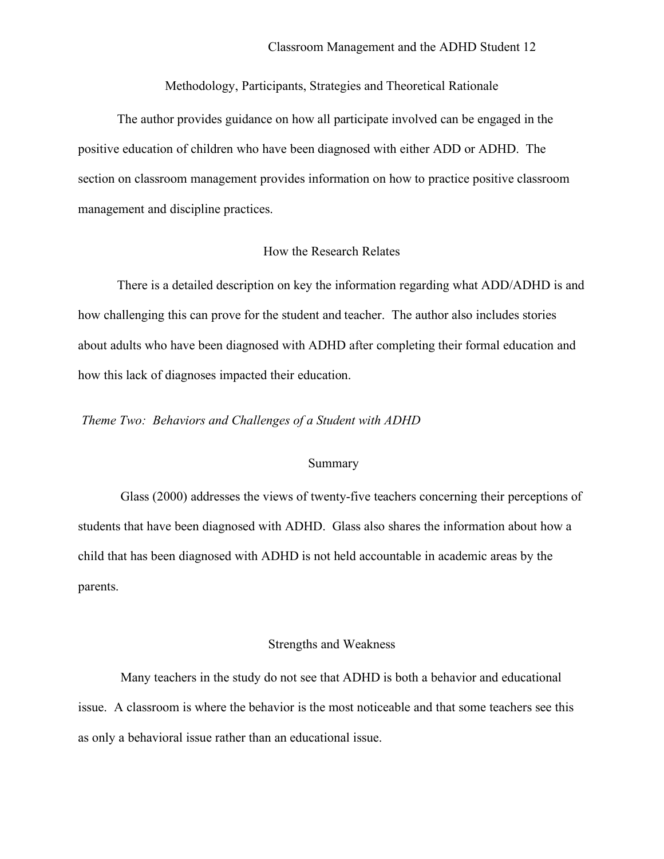Methodology, Participants, Strategies and Theoretical Rationale

The author provides guidance on how all participate involved can be engaged in the positive education of children who have been diagnosed with either ADD or ADHD. The section on classroom management provides information on how to practice positive classroom management and discipline practices.

## How the Research Relates

There is a detailed description on key the information regarding what ADD/ADHD is and how challenging this can prove for the student and teacher. The author also includes stories about adults who have been diagnosed with ADHD after completing their formal education and how this lack of diagnoses impacted their education.

*Theme Two: Behaviors and Challenges of a Student with ADHD*

#### Summary

Glass (2000) addresses the views of twenty-five teachers concerning their perceptions of students that have been diagnosed with ADHD. Glass also shares the information about how a child that has been diagnosed with ADHD is not held accountable in academic areas by the parents.

#### Strengths and Weakness

Many teachers in the study do not see that ADHD is both a behavior and educational issue. A classroom is where the behavior is the most noticeable and that some teachers see this as only a behavioral issue rather than an educational issue.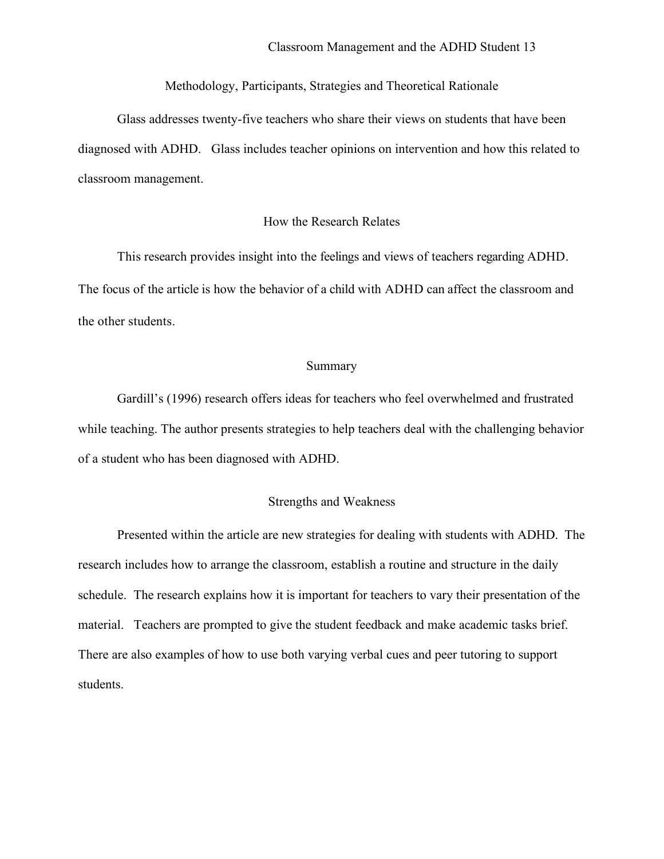Methodology, Participants, Strategies and Theoretical Rationale

Glass addresses twenty-five teachers who share their views on students that have been diagnosed with ADHD. Glass includes teacher opinions on intervention and how this related to classroom management.

## How the Research Relates

This research provides insight into the feelings and views of teachers regarding ADHD. The focus of the article is how the behavior of a child with ADHD can affect the classroom and the other students.

### Summary

Gardill's (1996) research offers ideas for teachers who feel overwhelmed and frustrated while teaching. The author presents strategies to help teachers deal with the challenging behavior of a student who has been diagnosed with ADHD.

## Strengths and Weakness

Presented within the article are new strategies for dealing with students with ADHD. The research includes how to arrange the classroom, establish a routine and structure in the daily schedule. The research explains how it is important for teachers to vary their presentation of the material. Teachers are prompted to give the student feedback and make academic tasks brief. There are also examples of how to use both varying verbal cues and peer tutoring to support students.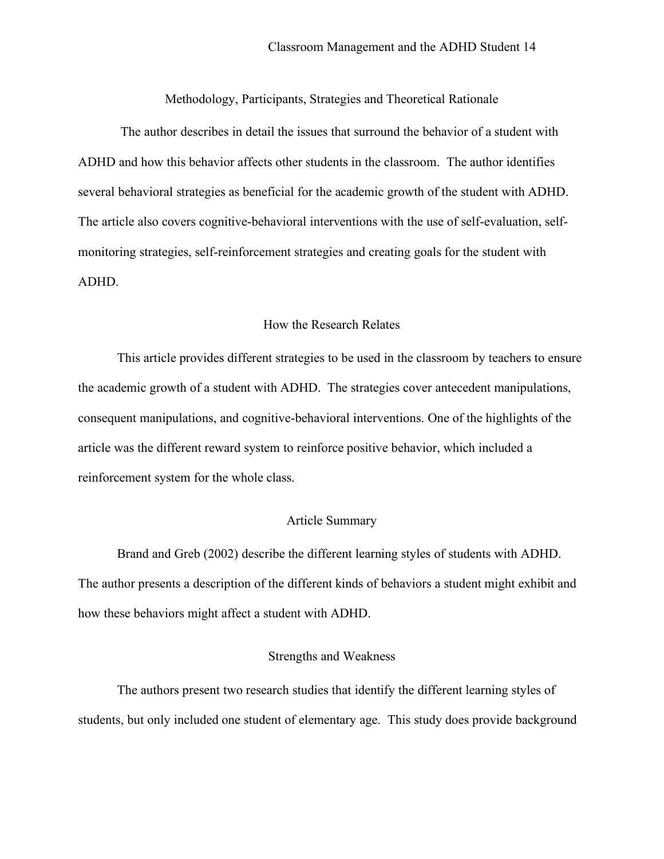Methodology, Participants, Strategies and Theoretical Rationale

The author describes in detail the issues that surround the behavior of a student with ADHD and how this behavior affects other students in the classroom. The author identifies several behavioral strategies as beneficial for the academic growth of the student with ADHD. The article also covers cognitive-behavioral interventions with the use of self-evaluation, selfmonitoring strategies, self-reinforcement strategies and creating goals for the student with ADHD.

#### How the Research Relates

This article provides different strategies to be used in the classroom by teachers to ensure the academic growth of a student with ADHD. The strategies cover antecedent manipulations, consequent manipulations, and cognitive-behavioral interventions. One of the highlights of the article was the different reward system to reinforce positive behavior, which included a reinforcement system for the whole class.

### Article Summary

Brand and Greb (2002) describe the different learning styles of students with ADHD. The author presents a description of the different kinds of behaviors a student might exhibit and how these behaviors might affect a student with ADHD.

## Strengths and Weakness

The authors present two research studies that identify the different learning styles of students, but only included one student of elementary age. This study does provide background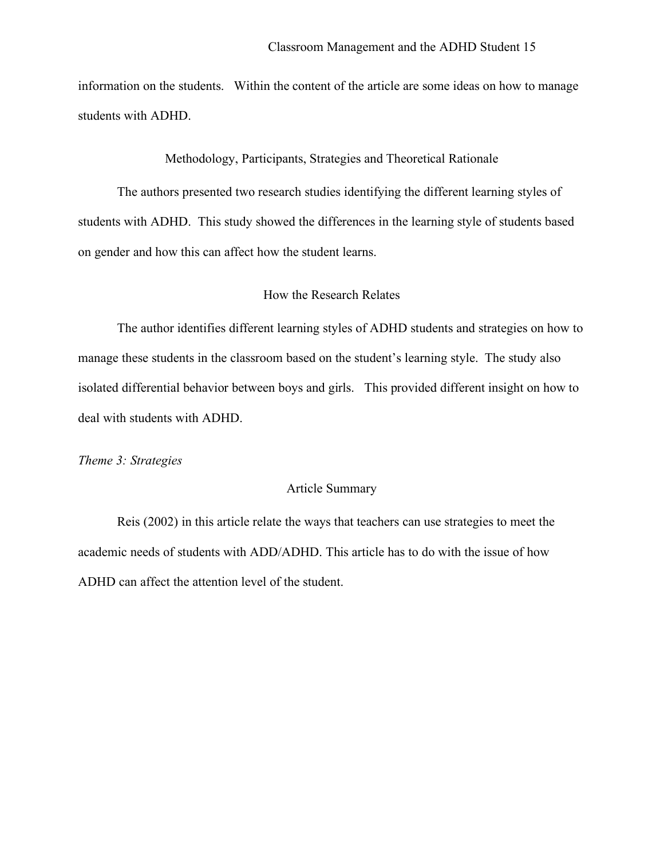information on the students. Within the content of the article are some ideas on how to manage students with ADHD.

Methodology, Participants, Strategies and Theoretical Rationale

The authors presented two research studies identifying the different learning styles of students with ADHD. This study showed the differences in the learning style of students based on gender and how this can affect how the student learns.

### How the Research Relates

The author identifies different learning styles of ADHD students and strategies on how to manage these students in the classroom based on the student's learning style. The study also isolated differential behavior between boys and girls. This provided different insight on how to deal with students with ADHD.

*Theme 3: Strategies*

## Article Summary

Reis (2002) in this article relate the ways that teachers can use strategies to meet the academic needs of students with ADD/ADHD. This article has to do with the issue of how ADHD can affect the attention level of the student.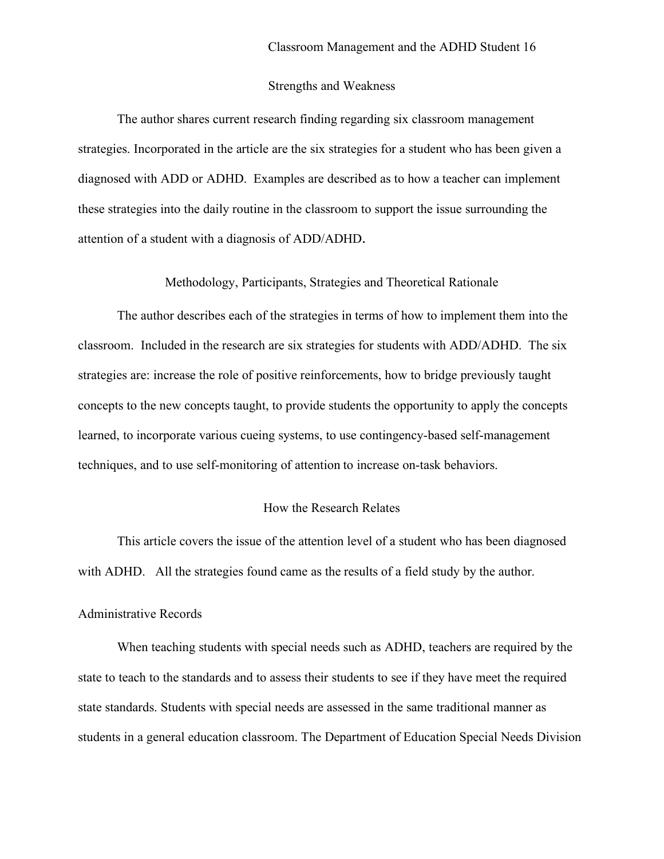### Strengths and Weakness

The author shares current research finding regarding six classroom management strategies. Incorporated in the article are the six strategies for a student who has been given a diagnosed with ADD or ADHD. Examples are described as to how a teacher can implement these strategies into the daily routine in the classroom to support the issue surrounding the attention of a student with a diagnosis of ADD/ADHD.

## Methodology, Participants, Strategies and Theoretical Rationale

The author describes each of the strategies in terms of how to implement them into the classroom. Included in the research are six strategies for students with ADD/ADHD. The six strategies are: increase the role of positive reinforcements, how to bridge previously taught concepts to the new concepts taught, to provide students the opportunity to apply the concepts learned, to incorporate various cueing systems, to use contingency-based self-management techniques, and to use self-monitoring of attention to increase on-task behaviors.

## How the Research Relates

This article covers the issue of the attention level of a student who has been diagnosed with ADHD. All the strategies found came as the results of a field study by the author.

### Administrative Records

When teaching students with special needs such as ADHD, teachers are required by the state to teach to the standards and to assess their students to see if they have meet the required state standards. Students with special needs are assessed in the same traditional manner as students in a general education classroom. The Department of Education Special Needs Division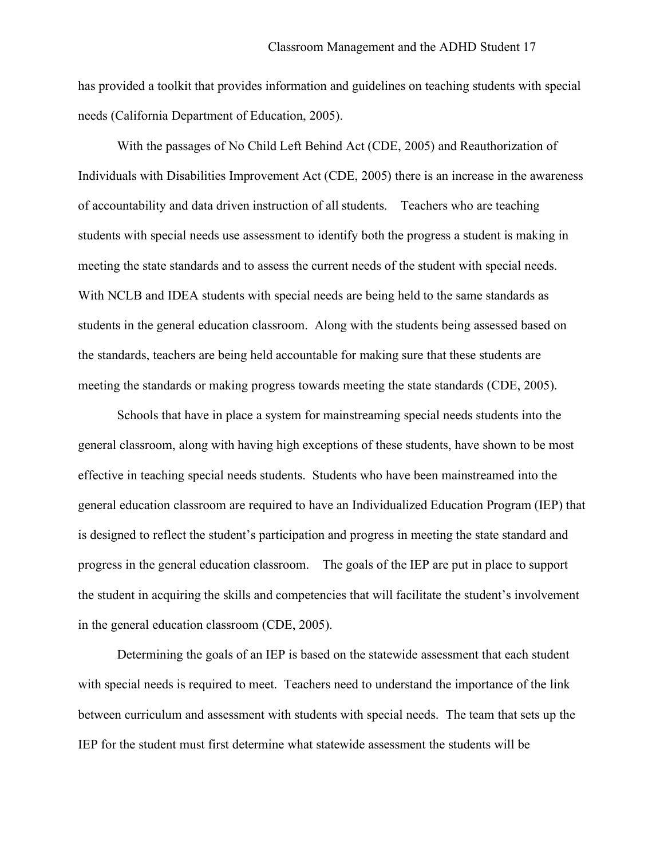has provided a toolkit that provides information and guidelines on teaching students with special needs (California Department of Education, 2005).

With the passages of No Child Left Behind Act (CDE, 2005) and Reauthorization of Individuals with Disabilities Improvement Act (CDE, 2005) there is an increase in the awareness of accountability and data driven instruction of all students. Teachers who are teaching students with special needs use assessment to identify both the progress a student is making in meeting the state standards and to assess the current needs of the student with special needs. With NCLB and IDEA students with special needs are being held to the same standards as students in the general education classroom. Along with the students being assessed based on the standards, teachers are being held accountable for making sure that these students are meeting the standards or making progress towards meeting the state standards (CDE, 2005).

Schools that have in place a system for mainstreaming special needs students into the general classroom, along with having high exceptions of these students, have shown to be most effective in teaching special needs students. Students who have been mainstreamed into the general education classroom are required to have an Individualized Education Program (IEP) that is designed to reflect the student's participation and progress in meeting the state standard and progress in the general education classroom. The goals of the IEP are put in place to support the student in acquiring the skills and competencies that will facilitate the student's involvement in the general education classroom (CDE, 2005).

Determining the goals of an IEP is based on the statewide assessment that each student with special needs is required to meet. Teachers need to understand the importance of the link between curriculum and assessment with students with special needs. The team that sets up the IEP for the student must first determine what statewide assessment the students will be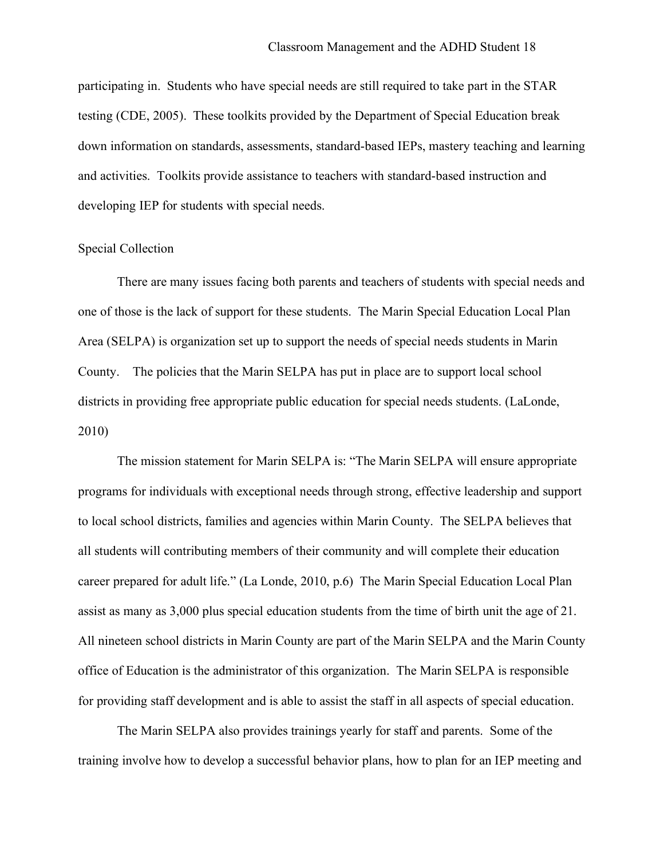participating in. Students who have special needs are still required to take part in the STAR testing (CDE, 2005). These toolkits provided by the Department of Special Education break down information on standards, assessments, standard-based IEPs, mastery teaching and learning and activities. Toolkits provide assistance to teachers with standard-based instruction and developing IEP for students with special needs.

### Special Collection

There are many issues facing both parents and teachers of students with special needs and one of those is the lack of support for these students. The Marin Special Education Local Plan Area (SELPA) is organization set up to support the needs of special needs students in Marin County. The policies that the Marin SELPA has put in place are to support local school districts in providing free appropriate public education for special needs students. (LaLonde, 2010)

The mission statement for Marin SELPA is: "The Marin SELPA will ensure appropriate programs for individuals with exceptional needs through strong, effective leadership and support to local school districts, families and agencies within Marin County. The SELPA believes that all students will contributing members of their community and will complete their education career prepared for adult life." (La Londe, 2010, p.6) The Marin Special Education Local Plan assist as many as 3,000 plus special education students from the time of birth unit the age of 21. All nineteen school districts in Marin County are part of the Marin SELPA and the Marin County office of Education is the administrator of this organization. The Marin SELPA is responsible for providing staff development and is able to assist the staff in all aspects of special education.

The Marin SELPA also provides trainings yearly for staff and parents. Some of the training involve how to develop a successful behavior plans, how to plan for an IEP meeting and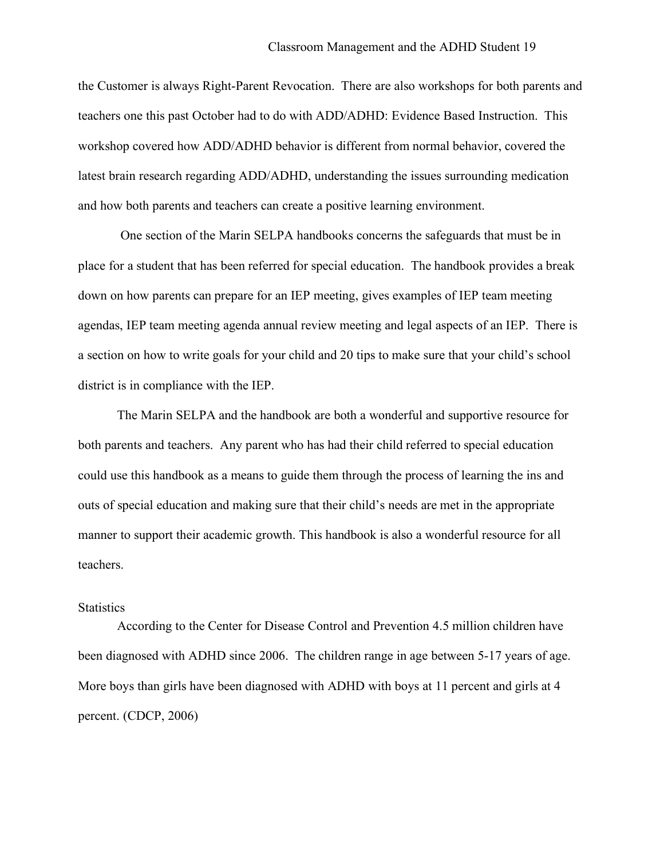the Customer is always Right-Parent Revocation. There are also workshops for both parents and teachers one this past October had to do with ADD/ADHD: Evidence Based Instruction. This workshop covered how ADD/ADHD behavior is different from normal behavior, covered the latest brain research regarding ADD/ADHD, understanding the issues surrounding medication and how both parents and teachers can create a positive learning environment.

One section of the Marin SELPA handbooks concerns the safeguards that must be in place for a student that has been referred for special education. The handbook provides a break down on how parents can prepare for an IEP meeting, gives examples of IEP team meeting agendas, IEP team meeting agenda annual review meeting and legal aspects of an IEP. There is a section on how to write goals for your child and 20 tips to make sure that your child's school district is in compliance with the IEP.

The Marin SELPA and the handbook are both a wonderful and supportive resource for both parents and teachers. Any parent who has had their child referred to special education could use this handbook as a means to guide them through the process of learning the ins and outs of special education and making sure that their child's needs are met in the appropriate manner to support their academic growth. This handbook is also a wonderful resource for all teachers.

#### **Statistics**

According to the Center for Disease Control and Prevention 4.5 million children have been diagnosed with ADHD since 2006. The children range in age between 5-17 years of age. More boys than girls have been diagnosed with ADHD with boys at 11 percent and girls at 4 percent. (CDCP, 2006)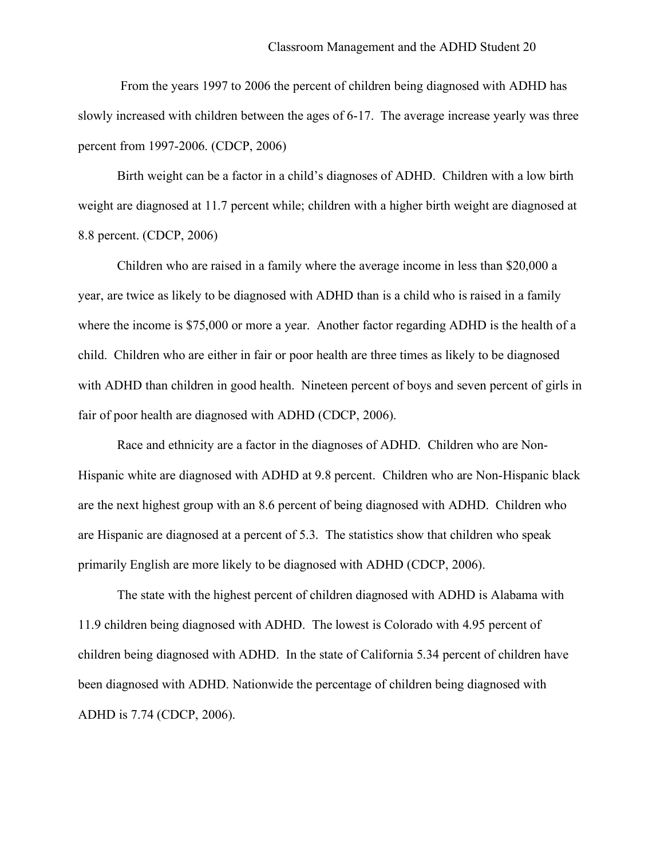From the years 1997 to 2006 the percent of children being diagnosed with ADHD has slowly increased with children between the ages of 6-17. The average increase yearly was three percent from 1997-2006. (CDCP, 2006)

Birth weight can be a factor in a child's diagnoses of ADHD. Children with a low birth weight are diagnosed at 11.7 percent while; children with a higher birth weight are diagnosed at 8.8 percent. (CDCP, 2006)

Children who are raised in a family where the average income in less than \$20,000 a year, are twice as likely to be diagnosed with ADHD than is a child who is raised in a family where the income is \$75,000 or more a year. Another factor regarding ADHD is the health of a child. Children who are either in fair or poor health are three times as likely to be diagnosed with ADHD than children in good health. Nineteen percent of boys and seven percent of girls in fair of poor health are diagnosed with ADHD (CDCP, 2006).

Race and ethnicity are a factor in the diagnoses of ADHD. Children who are Non-Hispanic white are diagnosed with ADHD at 9.8 percent. Children who are Non-Hispanic black are the next highest group with an 8.6 percent of being diagnosed with ADHD. Children who are Hispanic are diagnosed at a percent of 5.3. The statistics show that children who speak primarily English are more likely to be diagnosed with ADHD (CDCP, 2006).

The state with the highest percent of children diagnosed with ADHD is Alabama with 11.9 children being diagnosed with ADHD. The lowest is Colorado with 4.95 percent of children being diagnosed with ADHD. In the state of California 5.34 percent of children have been diagnosed with ADHD. Nationwide the percentage of children being diagnosed with ADHD is 7.74 (CDCP, 2006).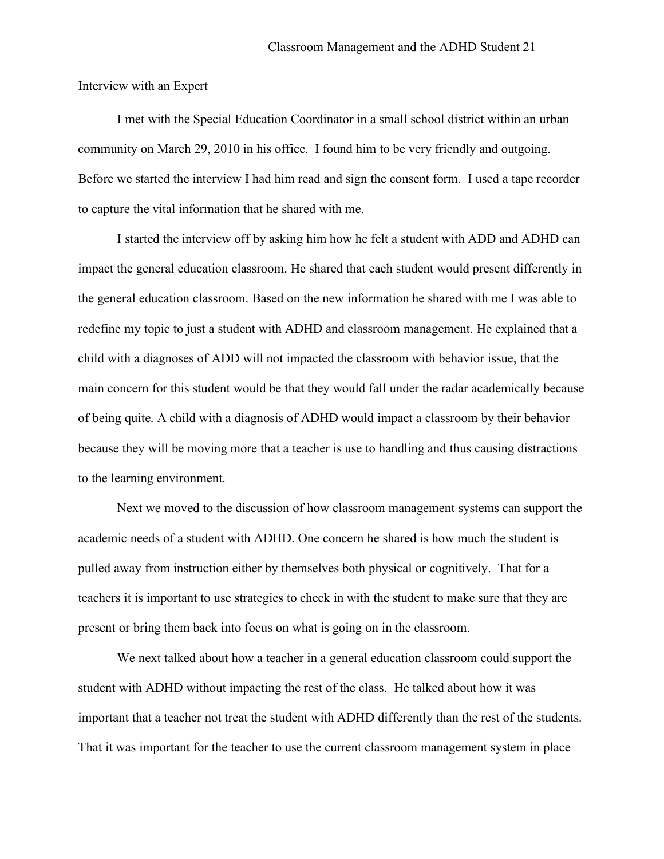Interview with an Expert

I met with the Special Education Coordinator in a small school district within an urban community on March 29, 2010 in his office. I found him to be very friendly and outgoing. Before we started the interview I had him read and sign the consent form. I used a tape recorder to capture the vital information that he shared with me.

I started the interview off by asking him how he felt a student with ADD and ADHD can impact the general education classroom. He shared that each student would present differently in the general education classroom. Based on the new information he shared with me I was able to redefine my topic to just a student with ADHD and classroom management. He explained that a child with a diagnoses of ADD will not impacted the classroom with behavior issue, that the main concern for this student would be that they would fall under the radar academically because of being quite. A child with a diagnosis of ADHD would impact a classroom by their behavior because they will be moving more that a teacher is use to handling and thus causing distractions to the learning environment.

Next we moved to the discussion of how classroom management systems can support the academic needs of a student with ADHD. One concern he shared is how much the student is pulled away from instruction either by themselves both physical or cognitively. That for a teachers it is important to use strategies to check in with the student to make sure that they are present or bring them back into focus on what is going on in the classroom.

We next talked about how a teacher in a general education classroom could support the student with ADHD without impacting the rest of the class. He talked about how it was important that a teacher not treat the student with ADHD differently than the rest of the students. That it was important for the teacher to use the current classroom management system in place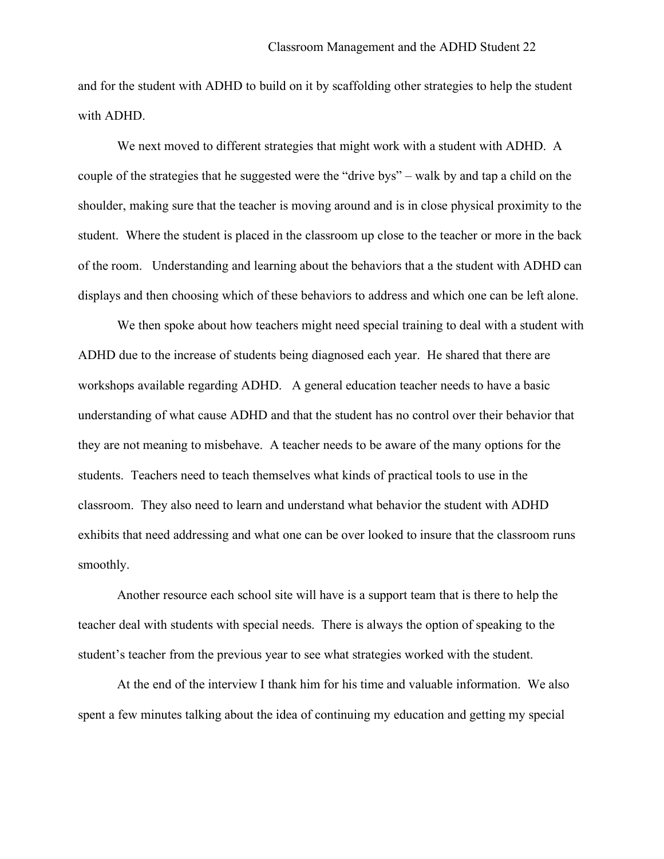and for the student with ADHD to build on it by scaffolding other strategies to help the student with ADHD.

We next moved to different strategies that might work with a student with ADHD. A couple of the strategies that he suggested were the "drive bys" – walk by and tap a child on the shoulder, making sure that the teacher is moving around and is in close physical proximity to the student. Where the student is placed in the classroom up close to the teacher or more in the back of the room. Understanding and learning about the behaviors that a the student with ADHD can displays and then choosing which of these behaviors to address and which one can be left alone.

We then spoke about how teachers might need special training to deal with a student with ADHD due to the increase of students being diagnosed each year. He shared that there are workshops available regarding ADHD. A general education teacher needs to have a basic understanding of what cause ADHD and that the student has no control over their behavior that they are not meaning to misbehave. A teacher needs to be aware of the many options for the students. Teachers need to teach themselves what kinds of practical tools to use in the classroom. They also need to learn and understand what behavior the student with ADHD exhibits that need addressing and what one can be over looked to insure that the classroom runs smoothly.

Another resource each school site will have is a support team that is there to help the teacher deal with students with special needs. There is always the option of speaking to the student's teacher from the previous year to see what strategies worked with the student.

At the end of the interview I thank him for his time and valuable information. We also spent a few minutes talking about the idea of continuing my education and getting my special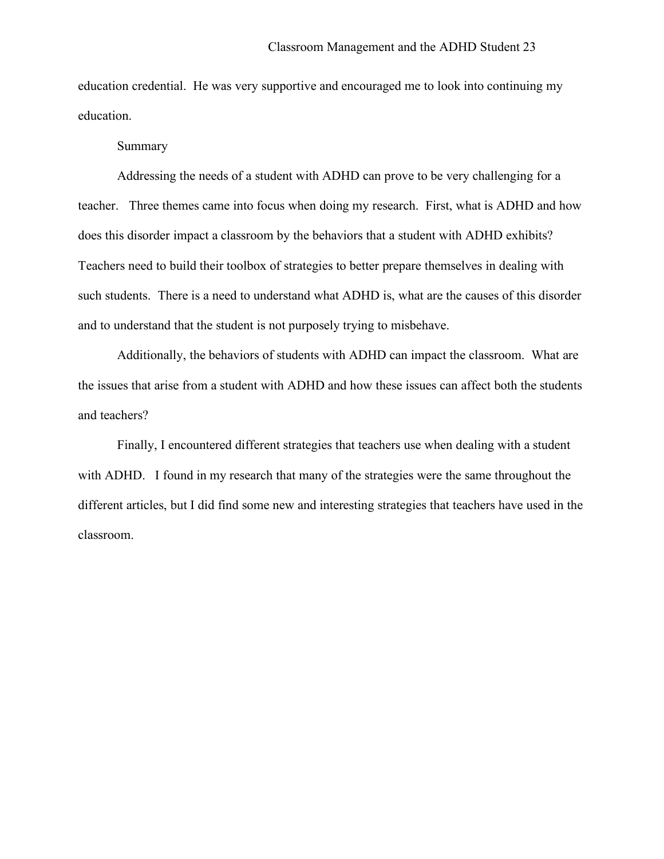education credential. He was very supportive and encouraged me to look into continuing my education.

### Summary

Addressing the needs of a student with ADHD can prove to be very challenging for a teacher. Three themes came into focus when doing my research. First, what is ADHD and how does this disorder impact a classroom by the behaviors that a student with ADHD exhibits? Teachers need to build their toolbox of strategies to better prepare themselves in dealing with such students. There is a need to understand what ADHD is, what are the causes of this disorder and to understand that the student is not purposely trying to misbehave.

Additionally, the behaviors of students with ADHD can impact the classroom. What are the issues that arise from a student with ADHD and how these issues can affect both the students and teachers?

Finally, I encountered different strategies that teachers use when dealing with a student with ADHD. I found in my research that many of the strategies were the same throughout the different articles, but I did find some new and interesting strategies that teachers have used in the classroom.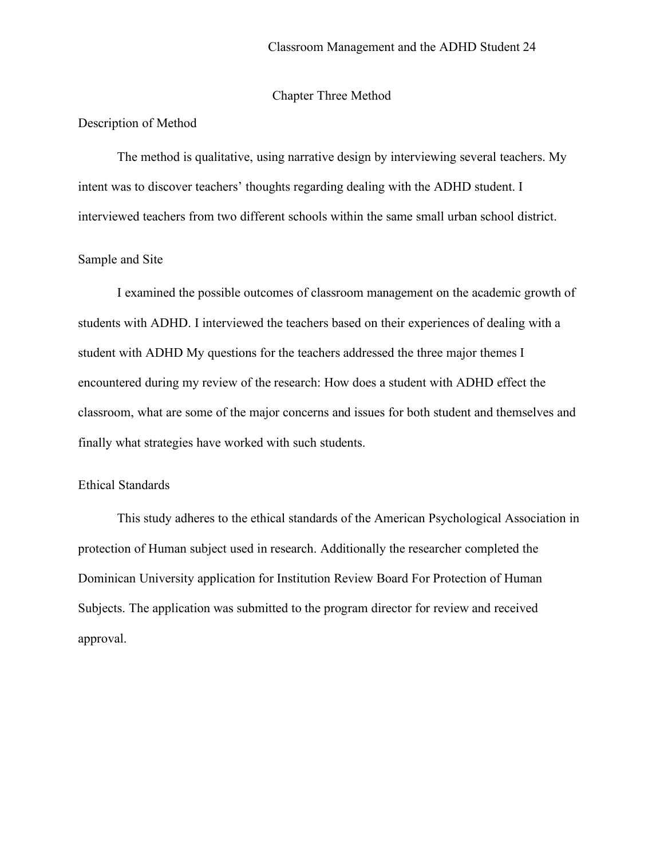## Chapter Three Method

#### Description of Method

The method is qualitative, using narrative design by interviewing several teachers. My intent was to discover teachers' thoughts regarding dealing with the ADHD student. I interviewed teachers from two different schools within the same small urban school district.

### Sample and Site

I examined the possible outcomes of classroom management on the academic growth of students with ADHD. I interviewed the teachers based on their experiences of dealing with a student with ADHD My questions for the teachers addressed the three major themes I encountered during my review of the research: How does a student with ADHD effect the classroom, what are some of the major concerns and issues for both student and themselves and finally what strategies have worked with such students.

## Ethical Standards

This study adheres to the ethical standards of the American Psychological Association in protection of Human subject used in research. Additionally the researcher completed the Dominican University application for Institution Review Board For Protection of Human Subjects. The application was submitted to the program director for review and received approval.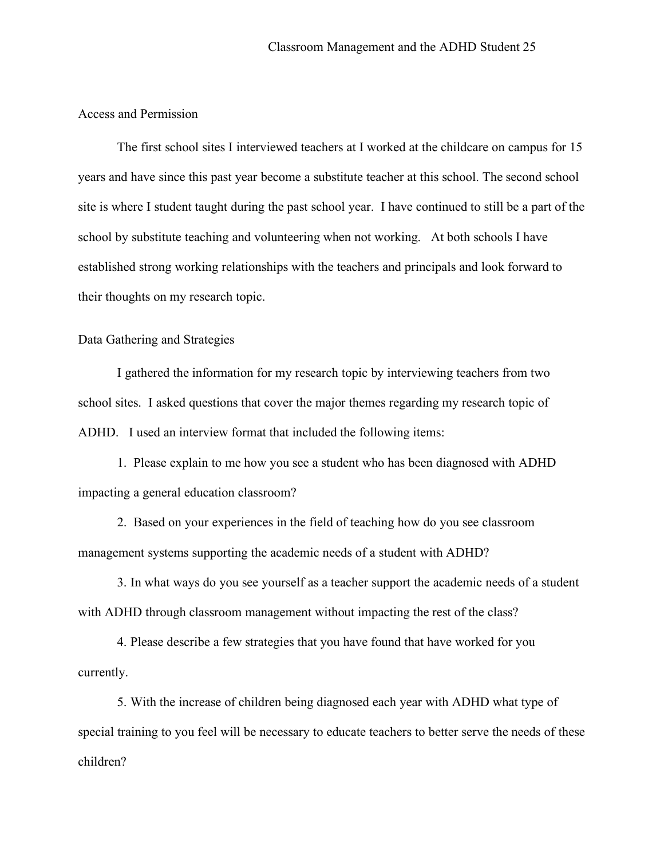## Access and Permission

The first school sites I interviewed teachers at I worked at the childcare on campus for 15 years and have since this past year become a substitute teacher at this school. The second school site is where I student taught during the past school year. I have continued to still be a part of the school by substitute teaching and volunteering when not working. At both schools I have established strong working relationships with the teachers and principals and look forward to their thoughts on my research topic.

## Data Gathering and Strategies

I gathered the information for my research topic by interviewing teachers from two school sites. I asked questions that cover the major themes regarding my research topic of ADHD. I used an interview format that included the following items:

1. Please explain to me how you see a student who has been diagnosed with ADHD impacting a general education classroom?

2. Based on your experiences in the field of teaching how do you see classroom management systems supporting the academic needs of a student with ADHD?

3. In what ways do you see yourself as a teacher support the academic needs of a student with ADHD through classroom management without impacting the rest of the class?

4. Please describe a few strategies that you have found that have worked for you currently.

5. With the increase of children being diagnosed each year with ADHD what type of special training to you feel will be necessary to educate teachers to better serve the needs of these children?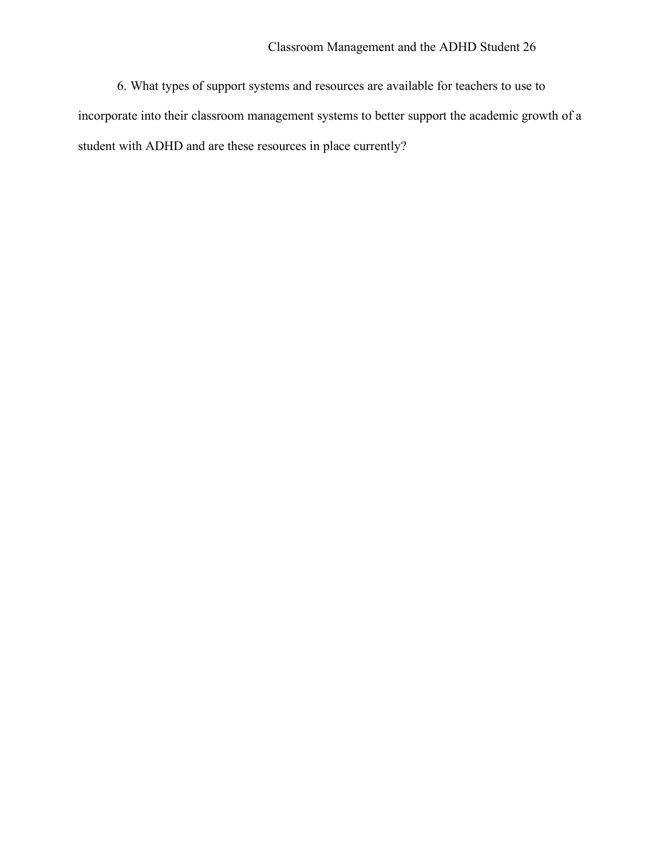6. What types of support systems and resources are available for teachers to use to incorporate into their classroom management systems to better support the academic growth of a student with ADHD and are these resources in place currently?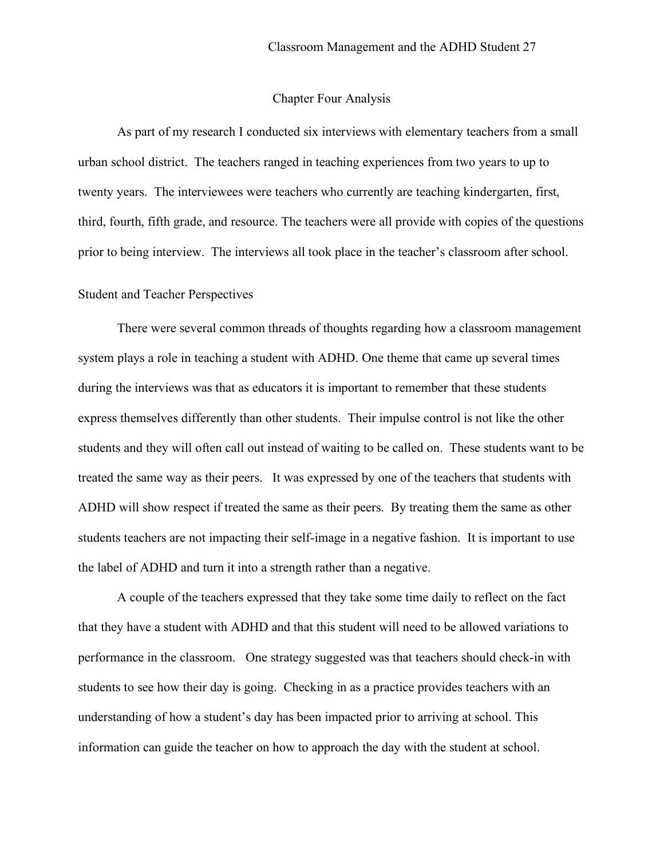### Chapter Four Analysis

As part of my research I conducted six interviews with elementary teachers from a small urban school district. The teachers ranged in teaching experiences from two years to up to twenty years. The interviewees were teachers who currently are teaching kindergarten, first, third, fourth, fifth grade, and resource. The teachers were all provide with copies of the questions prior to being interview. The interviews all took place in the teacher's classroom after school.

## Student and Teacher Perspectives

There were several common threads of thoughts regarding how a classroom management system plays a role in teaching a student with ADHD. One theme that came up several times during the interviews was that as educators it is important to remember that these students express themselves differently than other students. Their impulse control is not like the other students and they will often call out instead of waiting to be called on. These students want to be treated the same way as their peers. It was expressed by one of the teachers that students with ADHD will show respect if treated the same as their peers. By treating them the same as other students teachers are not impacting their self-image in a negative fashion. It is important to use the label of ADHD and turn it into a strength rather than a negative.

A couple of the teachers expressed that they take some time daily to reflect on the fact that they have a student with ADHD and that this student will need to be allowed variations to performance in the classroom. One strategy suggested was that teachers should check-in with students to see how their day is going. Checking in as a practice provides teachers with an understanding of how a student's day has been impacted prior to arriving at school. This information can guide the teacher on how to approach the day with the student at school.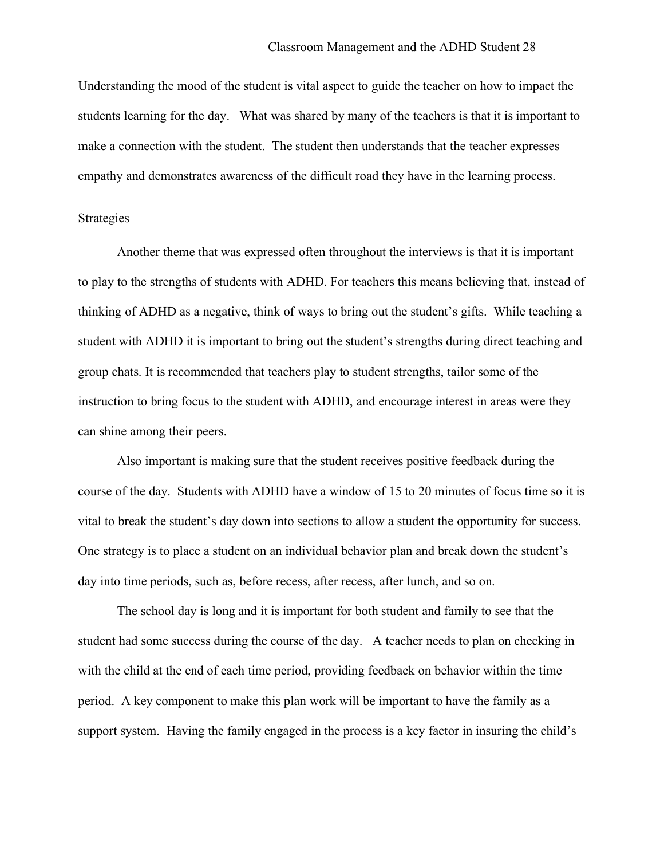Understanding the mood of the student is vital aspect to guide the teacher on how to impact the students learning for the day. What was shared by many of the teachers is that it is important to make a connection with the student. The student then understands that the teacher expresses empathy and demonstrates awareness of the difficult road they have in the learning process.

### Strategies

Another theme that was expressed often throughout the interviews is that it is important to play to the strengths of students with ADHD. For teachers this means believing that, instead of thinking of ADHD as a negative, think of ways to bring out the student's gifts. While teaching a student with ADHD it is important to bring out the student's strengths during direct teaching and group chats. It is recommended that teachers play to student strengths, tailor some of the instruction to bring focus to the student with ADHD, and encourage interest in areas were they can shine among their peers.

Also important is making sure that the student receives positive feedback during the course of the day. Students with ADHD have a window of 15 to 20 minutes of focus time so it is vital to break the student's day down into sections to allow a student the opportunity for success. One strategy is to place a student on an individual behavior plan and break down the student's day into time periods, such as, before recess, after recess, after lunch, and so on.

The school day is long and it is important for both student and family to see that the student had some success during the course of the day. A teacher needs to plan on checking in with the child at the end of each time period, providing feedback on behavior within the time period. A key component to make this plan work will be important to have the family as a support system. Having the family engaged in the process is a key factor in insuring the child's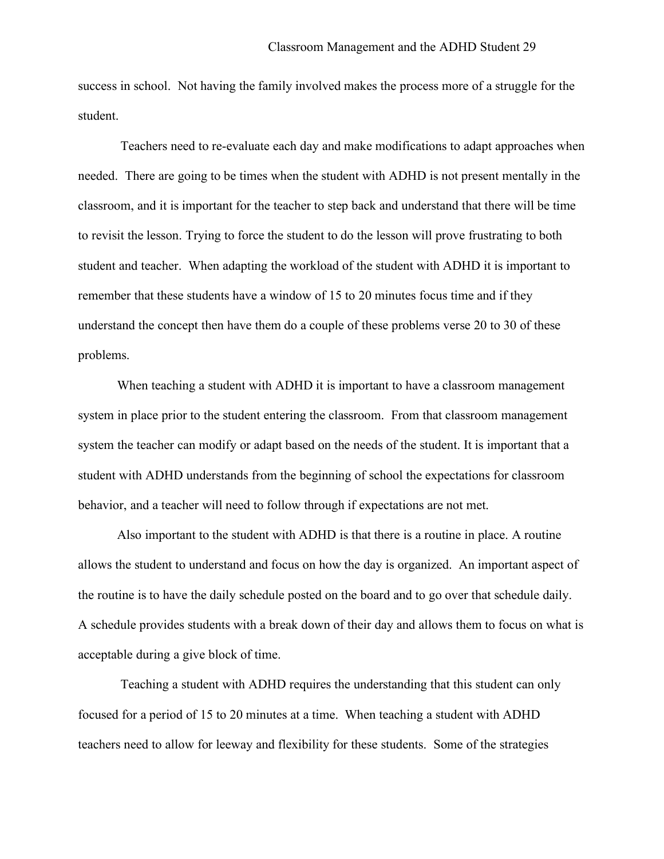success in school. Not having the family involved makes the process more of a struggle for the student.

Teachers need to re-evaluate each day and make modifications to adapt approaches when needed. There are going to be times when the student with ADHD is not present mentally in the classroom, and it is important for the teacher to step back and understand that there will be time to revisit the lesson. Trying to force the student to do the lesson will prove frustrating to both student and teacher. When adapting the workload of the student with ADHD it is important to remember that these students have a window of 15 to 20 minutes focus time and if they understand the concept then have them do a couple of these problems verse 20 to 30 of these problems.

When teaching a student with ADHD it is important to have a classroom management system in place prior to the student entering the classroom. From that classroom management system the teacher can modify or adapt based on the needs of the student. It is important that a student with ADHD understands from the beginning of school the expectations for classroom behavior, and a teacher will need to follow through if expectations are not met.

Also important to the student with ADHD is that there is a routine in place. A routine allows the student to understand and focus on how the day is organized. An important aspect of the routine is to have the daily schedule posted on the board and to go over that schedule daily. A schedule provides students with a break down of their day and allows them to focus on what is acceptable during a give block of time.

Teaching a student with ADHD requires the understanding that this student can only focused for a period of 15 to 20 minutes at a time. When teaching a student with ADHD teachers need to allow for leeway and flexibility for these students. Some of the strategies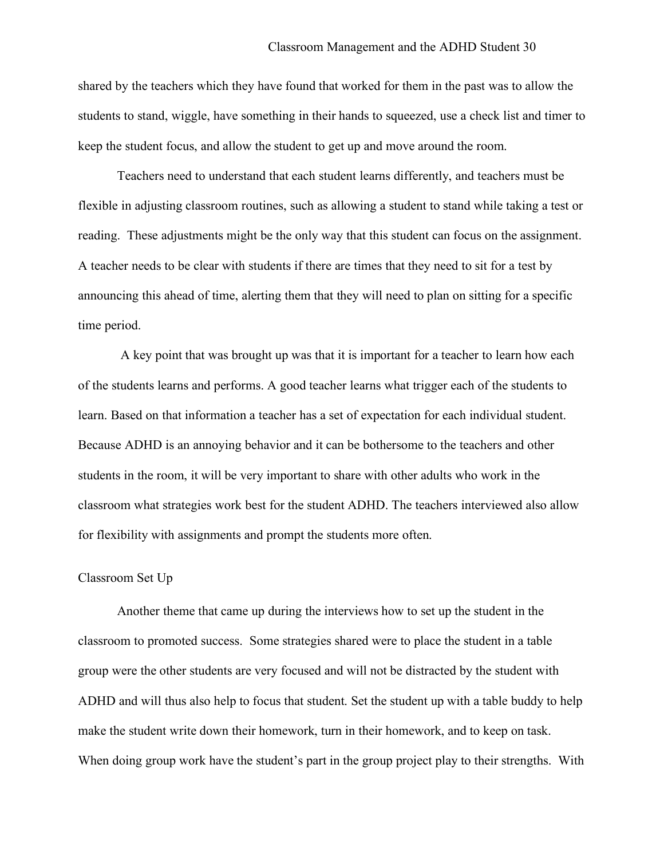shared by the teachers which they have found that worked for them in the past was to allow the students to stand, wiggle, have something in their hands to squeezed, use a check list and timer to keep the student focus, and allow the student to get up and move around the room.

Teachers need to understand that each student learns differently, and teachers must be flexible in adjusting classroom routines, such as allowing a student to stand while taking a test or reading. These adjustments might be the only way that this student can focus on the assignment. A teacher needs to be clear with students if there are times that they need to sit for a test by announcing this ahead of time, alerting them that they will need to plan on sitting for a specific time period.

A key point that was brought up was that it is important for a teacher to learn how each of the students learns and performs. A good teacher learns what trigger each of the students to learn. Based on that information a teacher has a set of expectation for each individual student. Because ADHD is an annoying behavior and it can be bothersome to the teachers and other students in the room, it will be very important to share with other adults who work in the classroom what strategies work best for the student ADHD. The teachers interviewed also allow for flexibility with assignments and prompt the students more often.

### Classroom Set Up

Another theme that came up during the interviews how to set up the student in the classroom to promoted success. Some strategies shared were to place the student in a table group were the other students are very focused and will not be distracted by the student with ADHD and will thus also help to focus that student. Set the student up with a table buddy to help make the student write down their homework, turn in their homework, and to keep on task. When doing group work have the student's part in the group project play to their strengths. With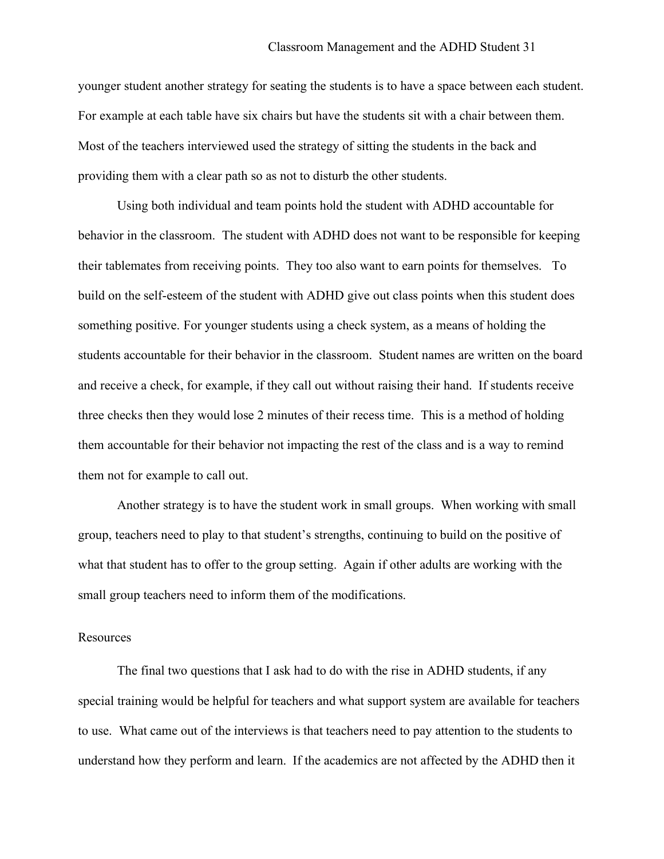younger student another strategy for seating the students is to have a space between each student. For example at each table have six chairs but have the students sit with a chair between them. Most of the teachers interviewed used the strategy of sitting the students in the back and providing them with a clear path so as not to disturb the other students.

Using both individual and team points hold the student with ADHD accountable for behavior in the classroom. The student with ADHD does not want to be responsible for keeping their tablemates from receiving points. They too also want to earn points for themselves. To build on the self-esteem of the student with ADHD give out class points when this student does something positive. For younger students using a check system, as a means of holding the students accountable for their behavior in the classroom. Student names are written on the board and receive a check, for example, if they call out without raising their hand. If students receive three checks then they would lose 2 minutes of their recess time. This is a method of holding them accountable for their behavior not impacting the rest of the class and is a way to remind them not for example to call out.

Another strategy is to have the student work in small groups. When working with small group, teachers need to play to that student's strengths, continuing to build on the positive of what that student has to offer to the group setting. Again if other adults are working with the small group teachers need to inform them of the modifications.

### **Resources**

The final two questions that I ask had to do with the rise in ADHD students, if any special training would be helpful for teachers and what support system are available for teachers to use. What came out of the interviews is that teachers need to pay attention to the students to understand how they perform and learn. If the academics are not affected by the ADHD then it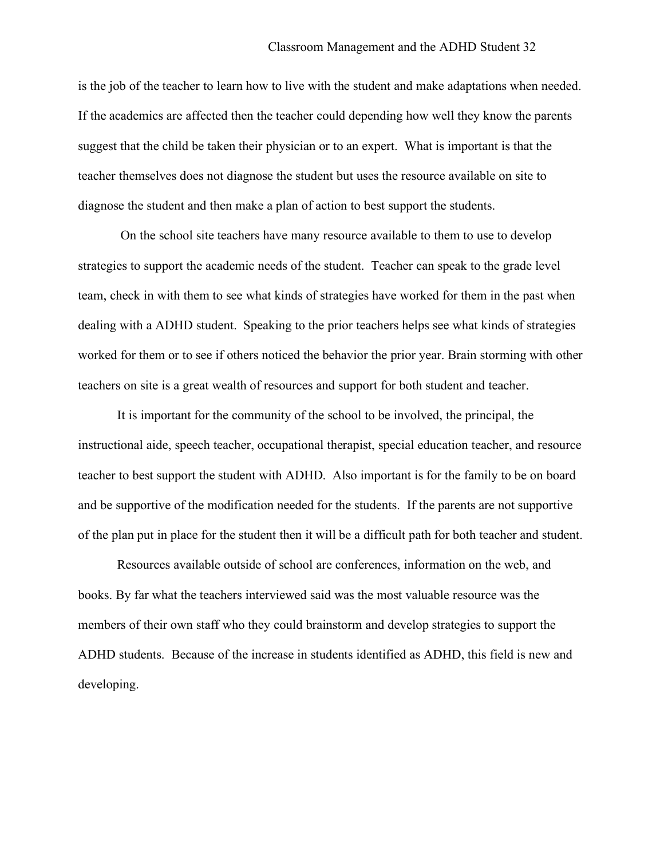is the job of the teacher to learn how to live with the student and make adaptations when needed. If the academics are affected then the teacher could depending how well they know the parents suggest that the child be taken their physician or to an expert. What is important is that the teacher themselves does not diagnose the student but uses the resource available on site to diagnose the student and then make a plan of action to best support the students.

On the school site teachers have many resource available to them to use to develop strategies to support the academic needs of the student. Teacher can speak to the grade level team, check in with them to see what kinds of strategies have worked for them in the past when dealing with a ADHD student. Speaking to the prior teachers helps see what kinds of strategies worked for them or to see if others noticed the behavior the prior year. Brain storming with other teachers on site is a great wealth of resources and support for both student and teacher.

It is important for the community of the school to be involved, the principal, the instructional aide, speech teacher, occupational therapist, special education teacher, and resource teacher to best support the student with ADHD. Also important is for the family to be on board and be supportive of the modification needed for the students. If the parents are not supportive of the plan put in place for the student then it will be a difficult path for both teacher and student.

Resources available outside of school are conferences, information on the web, and books. By far what the teachers interviewed said was the most valuable resource was the members of their own staff who they could brainstorm and develop strategies to support the ADHD students. Because of the increase in students identified as ADHD, this field is new and developing.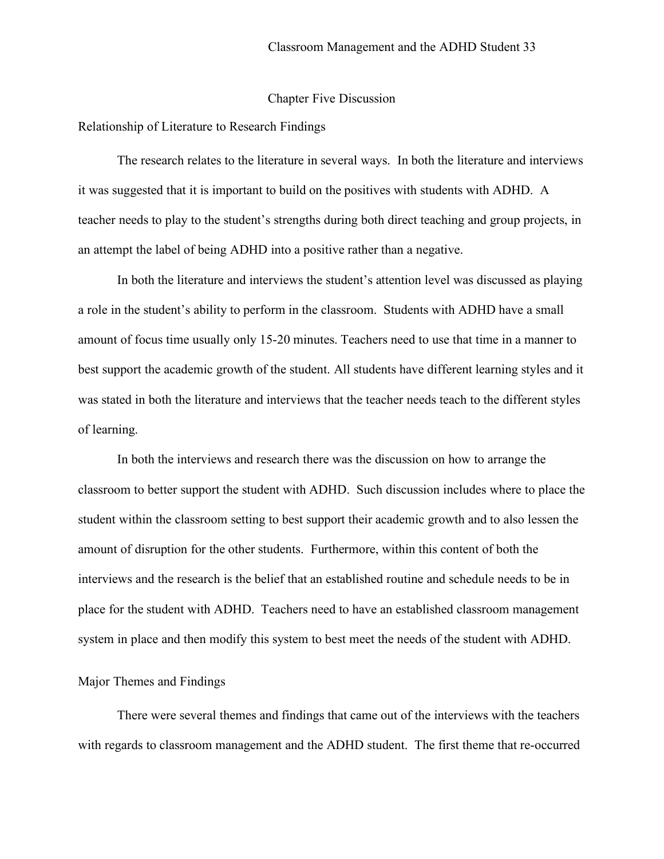#### Chapter Five Discussion

#### Relationship of Literature to Research Findings

The research relates to the literature in several ways. In both the literature and interviews it was suggested that it is important to build on the positives with students with ADHD. A teacher needs to play to the student's strengths during both direct teaching and group projects, in an attempt the label of being ADHD into a positive rather than a negative.

In both the literature and interviews the student's attention level was discussed as playing a role in the student's ability to perform in the classroom. Students with ADHD have a small amount of focus time usually only 15-20 minutes. Teachers need to use that time in a manner to best support the academic growth of the student. All students have different learning styles and it was stated in both the literature and interviews that the teacher needs teach to the different styles of learning.

In both the interviews and research there was the discussion on how to arrange the classroom to better support the student with ADHD. Such discussion includes where to place the student within the classroom setting to best support their academic growth and to also lessen the amount of disruption for the other students. Furthermore, within this content of both the interviews and the research is the belief that an established routine and schedule needs to be in place for the student with ADHD. Teachers need to have an established classroom management system in place and then modify this system to best meet the needs of the student with ADHD.

## Major Themes and Findings

There were several themes and findings that came out of the interviews with the teachers with regards to classroom management and the ADHD student. The first theme that re-occurred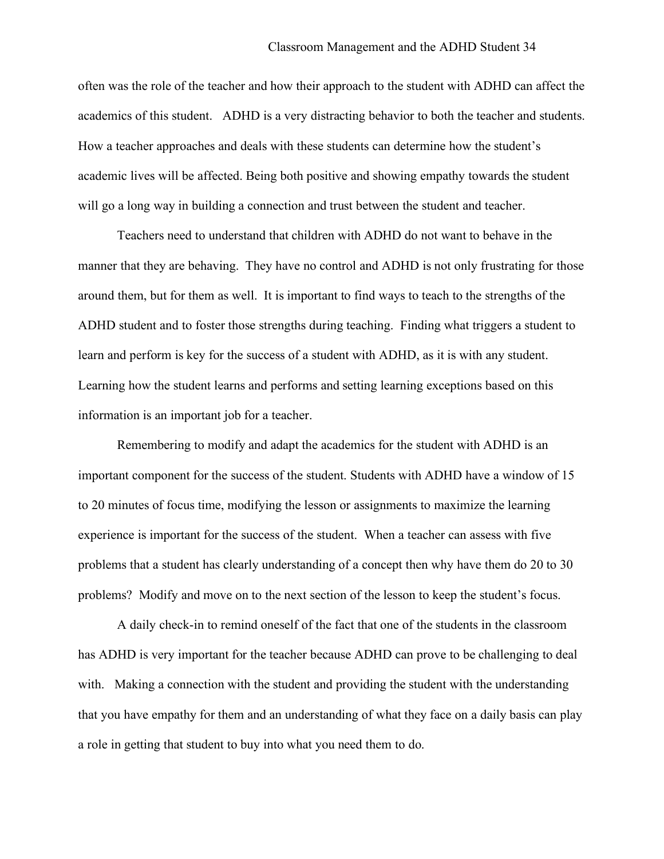often was the role of the teacher and how their approach to the student with ADHD can affect the academics of this student. ADHD is a very distracting behavior to both the teacher and students. How a teacher approaches and deals with these students can determine how the student's academic lives will be affected. Being both positive and showing empathy towards the student will go a long way in building a connection and trust between the student and teacher.

Teachers need to understand that children with ADHD do not want to behave in the manner that they are behaving. They have no control and ADHD is not only frustrating for those around them, but for them as well. It is important to find ways to teach to the strengths of the ADHD student and to foster those strengths during teaching. Finding what triggers a student to learn and perform is key for the success of a student with ADHD, as it is with any student. Learning how the student learns and performs and setting learning exceptions based on this information is an important job for a teacher.

Remembering to modify and adapt the academics for the student with ADHD is an important component for the success of the student. Students with ADHD have a window of 15 to 20 minutes of focus time, modifying the lesson or assignments to maximize the learning experience is important for the success of the student. When a teacher can assess with five problems that a student has clearly understanding of a concept then why have them do 20 to 30 problems? Modify and move on to the next section of the lesson to keep the student's focus.

A daily check-in to remind oneself of the fact that one of the students in the classroom has ADHD is very important for the teacher because ADHD can prove to be challenging to deal with. Making a connection with the student and providing the student with the understanding that you have empathy for them and an understanding of what they face on a daily basis can play a role in getting that student to buy into what you need them to do.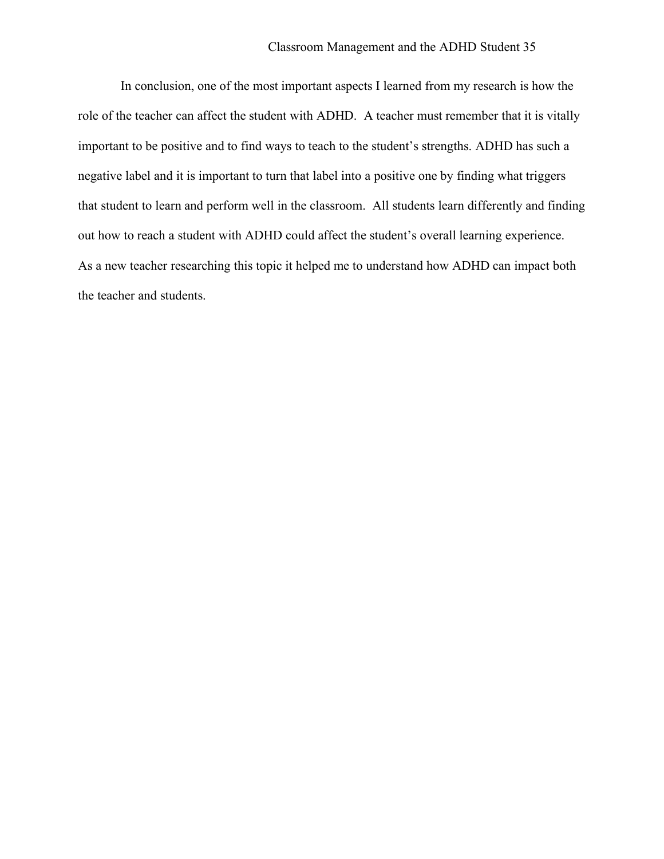In conclusion, one of the most important aspects I learned from my research is how the role of the teacher can affect the student with ADHD. A teacher must remember that it is vitally important to be positive and to find ways to teach to the student's strengths. ADHD has such a negative label and it is important to turn that label into a positive one by finding what triggers that student to learn and perform well in the classroom. All students learn differently and finding out how to reach a student with ADHD could affect the student's overall learning experience. As a new teacher researching this topic it helped me to understand how ADHD can impact both the teacher and students.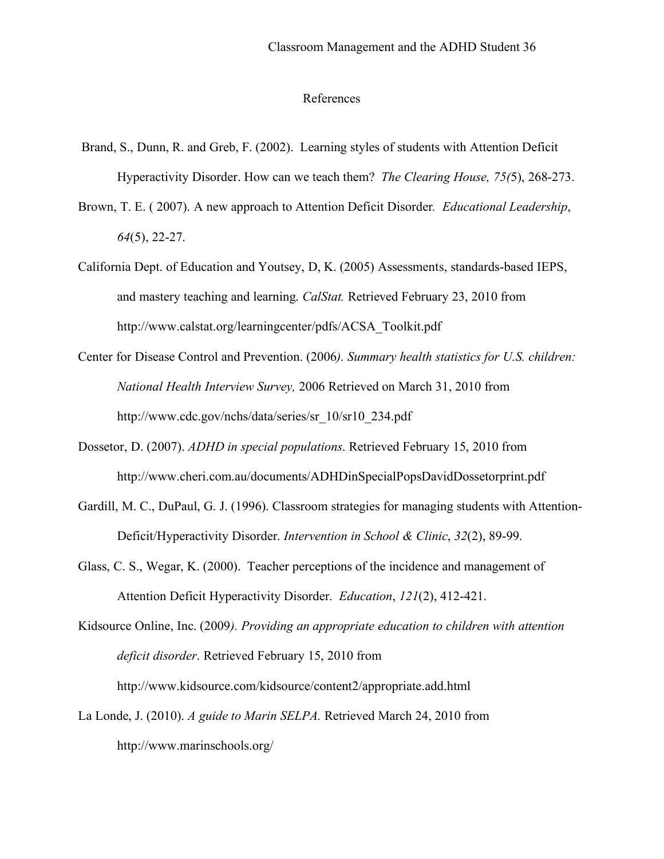#### References

- Brand, S., Dunn, R. and Greb, F. (2002). Learning styles of students with Attention Deficit Hyperactivity Disorder. How can we teach them? *The Clearing House, 75(*5), 268-273.
- Brown, T. E. ( 2007). A new approach to Attention Deficit Disorder*. Educational Leadership*, *64*(5), 22-27.
- California Dept. of Education and Youtsey, D, K. (2005) Assessments, standards-based IEPS, and mastery teaching and learning. *CalStat.* Retrieved February 23, 2010 from http://www.calstat.org/learningcenter/pdfs/ACSA\_Toolkit.pdf
- Center for Disease Control and Prevention. (2006*). Summary health statistics for U.S. children: National Health Interview Survey,* 2006 Retrieved on March 31, 2010 from http://www.cdc.gov/nchs/data/series/sr\_10/sr10\_234.pdf
- Dossetor, D. (2007). *ADHD in special populations*. Retrieved February 15, 2010 from http://www.cheri.com.au/documents/ADHDinSpecialPopsDavidDossetorprint.pdf
- Gardill, M. C., DuPaul, G. J. (1996). Classroom strategies for managing students with Attention-Deficit/Hyperactivity Disorder. *Intervention in School & Clinic*, *32*(2), 89-99.
- Glass, C. S., Wegar, K. (2000). Teacher perceptions of the incidence and management of Attention Deficit Hyperactivity Disorder. *Education*, *121*(2), 412-421.

Kidsource Online, Inc. (2009*). Providing an appropriate education to children with attention deficit disorder*. Retrieved February 15, 2010 from http://www.kidsource.com/kidsource/content2/appropriate.add.html

La Londe, J. (2010). *A guide to Marin SELPA.* Retrieved March 24, 2010 from http://www.marinschools.org/